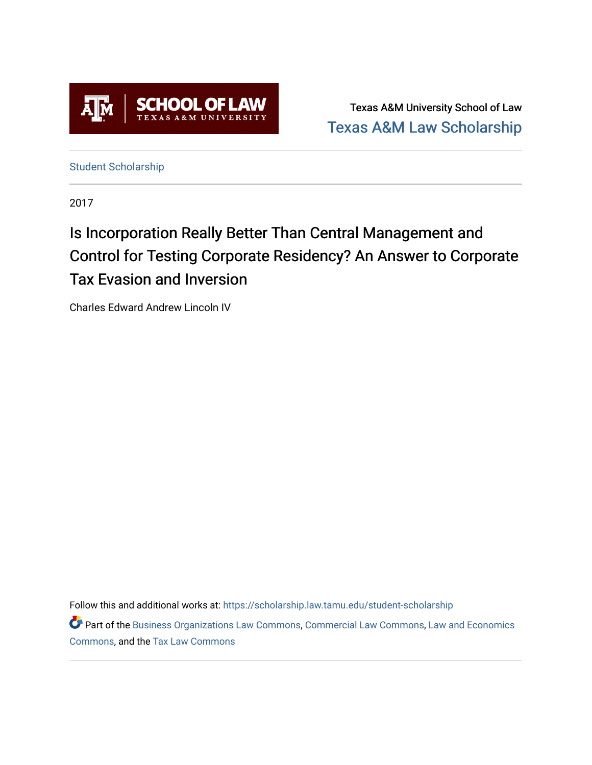

Texas A&M University School of Law [Texas A&M Law Scholarship](https://scholarship.law.tamu.edu/) 

[Student Scholarship](https://scholarship.law.tamu.edu/student-scholarship)

2017

# Is Incorporation Really Better Than Central Management and Control for Testing Corporate Residency? An Answer to Corporate Tax Evasion and Inversion

Charles Edward Andrew Lincoln IV

Follow this and additional works at: [https://scholarship.law.tamu.edu/student-scholarship](https://scholarship.law.tamu.edu/student-scholarship?utm_source=scholarship.law.tamu.edu%2Fstudent-scholarship%2F14&utm_medium=PDF&utm_campaign=PDFCoverPages) 

Part of the [Business Organizations Law Commons](https://network.bepress.com/hgg/discipline/900?utm_source=scholarship.law.tamu.edu%2Fstudent-scholarship%2F14&utm_medium=PDF&utm_campaign=PDFCoverPages), [Commercial Law Commons,](https://network.bepress.com/hgg/discipline/586?utm_source=scholarship.law.tamu.edu%2Fstudent-scholarship%2F14&utm_medium=PDF&utm_campaign=PDFCoverPages) [Law and Economics](https://network.bepress.com/hgg/discipline/612?utm_source=scholarship.law.tamu.edu%2Fstudent-scholarship%2F14&utm_medium=PDF&utm_campaign=PDFCoverPages)  [Commons](https://network.bepress.com/hgg/discipline/612?utm_source=scholarship.law.tamu.edu%2Fstudent-scholarship%2F14&utm_medium=PDF&utm_campaign=PDFCoverPages), and the [Tax Law Commons](https://network.bepress.com/hgg/discipline/898?utm_source=scholarship.law.tamu.edu%2Fstudent-scholarship%2F14&utm_medium=PDF&utm_campaign=PDFCoverPages)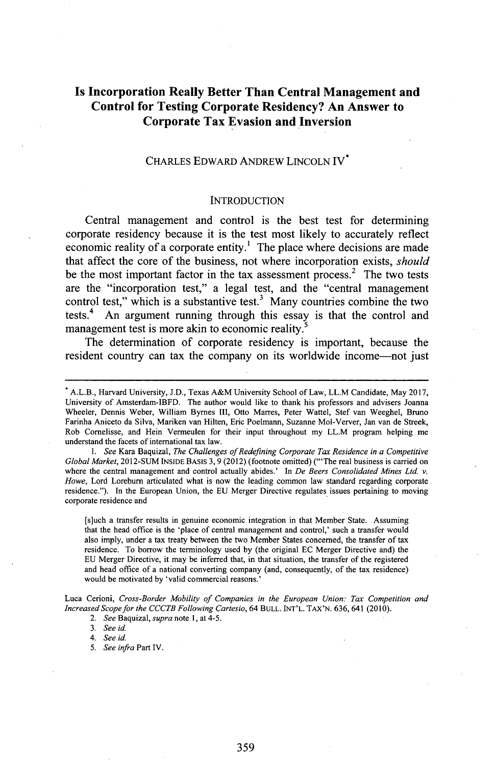## **Is Incorporation Really Better Than Central Management and Control for Testing Corporate Residency? An Answer to Corporate Tax Evasion and Inversion**

### CHARLES EDWARD ANDREW LINCOLN IV\*

#### **INTRODUCTION**

Central management and control is the best test for determining corporate residency because it is the test most likely to accurately reflect economic reality of a corporate entity.' The place where decisions are made that affect the core of the business, not where incorporation exists, *should* be the most important factor in the tax assessment process. $<sup>2</sup>$  The two tests</sup> are the "incorporation test," a legal test, and the "central management control test," which is a substantive test.<sup>3</sup> Many countries combine the two tests.<sup>4</sup> An argument running through this essay is that the control and management test is more akin to economic reality.<sup>5</sup>

The determination of corporate residency is important, because the resident country can tax the company on its worldwide income-not just

*1. See* Kara Baquizal, *The Challenges of Redefining Corporate Tax Residence in a Competitive Global Market,* **2012-SUM INSIDE** BASIS **3,9** (2012) (footnote omitted) ("'The real business is carried on where the central management and control actually abides.' In *De Beers Consolidated Mines Ltd. v. Howe,* Lord Loreburn articulated what is now the leading common law standard regarding corporate residence."). In the European Union, the **EU** Merger Directive regulates issues pertaining to moving corporate residence and

[s]uch a transfer results in genuine economic integration in that Member State. Assuming that the head office is the 'place of central management and control,' such a transfer would also imply, under a tax treaty between the two Member States concerned, the transfer of tax residence. To borrow the terminology used **by** (the original **EC** Merger Directive and) the **EU** Merger Directive, it may **be** inferred that, in that situation, the transfer of the registered and head office of a national converting company (and, consequently, of the tax residence) would be motivated **by** 'valid commercial reasons.'

Luca Cerioni, *Cross-Border Mobility of Companies in the European Union: Tax Competition and Increased Scope for the CCCTB Following Cartesio, 64* **BULL.** INT'L. **TAX'N. 636,** 641 (2010).

*3. See id*

*4. See id*

*5. See infra* Part IV.

A.L.B., Harvard University, **J.D.,** Texas A&M University School of Law, LL.M Candidate, May **2017,** University of Amsterdam-IBFD. The author would like to thank his professors and advisers Joanna Wheeler, Dennis Weber, William Byrnes III, Otto Marres, Peter Wattel, Stef van Weeghel, Bruno Farinha Aniceto da Silva, Mariken van Hilten, Eric Poelmann, Suzanne Mol-Verver, Jan van de Streek, Rob Cornelisse, and Hein Vermeulen for their input throughout my LL.M program helping me understand the facets of international tax law.

*<sup>2.</sup> See Baquizal, supra* note **1,** at 4-5.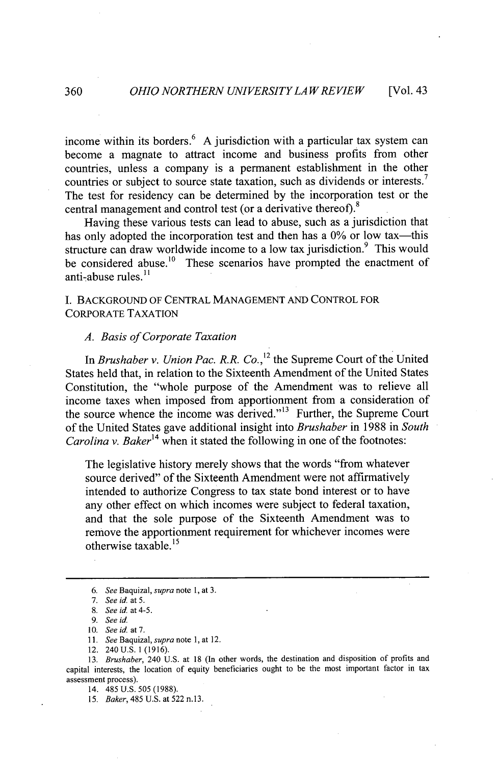income within its borders.<sup>6</sup> A jurisdiction with a particular tax system can become a magnate to attract income and business profits from other countries, unless a company is a permanent establishment in the other countries or subject to source state taxation, such as dividends or interests.<sup>7</sup> The test for residency can be determined **by** the incorporation test or the central management and control test (or a derivative thereof).<sup>8</sup>

Having these various tests can lead to abuse, such as a jurisdiction that has only adopted the incorporation test and then has a 0% or low tax—this structure can draw worldwide income to a low tax jurisdiction.<sup>9</sup> This would be considered abuse.<sup>10</sup> These scenarios have prompted the enactment of anti-abuse rules. $^{11}$ 

**I. BACKGROUND** OF **CENTRAL MANAGEMENT AND** CONTROL FOR CORPORATE **TAXATION**

#### *A. Basis of Corporate Taxation*

In *Brushaber v. Union Pac. R.R. Co.*,<sup>12</sup> the Supreme Court of the United States held that, in relation to the Sixteenth Amendment of the United States Constitution, the "whole purpose of the Amendment was to relieve all income taxes when imposed from apportionment from a consideration of the source whence the income was derived."<sup>13</sup> Further, the Supreme Court of the United States gave additional insight into *Brushaber* in **1988** in *South Carolina v. Baker*<sup>14</sup> when it stated the following in one of the footnotes:

The legislative history merely shows that the words "from whatever source derived" of the Sixteenth Amendment were not affirmatively intended to authorize Congress to tax state bond interest or to have any other effect on which incomes were subject to federal taxation, and that the sole purpose of the Sixteenth Amendment was to remove the apportionment requirement for whichever incomes were otherwise taxable.<sup>15</sup>

**<sup>6.</sup>** *See Baquizal, supra note* **1,** at **3.**

*<sup>7.</sup> See id at 5.*

**<sup>8.</sup>** *See id at* 4-5.

**<sup>9.</sup>** *See id.*

**<sup>10.</sup>** *See id at 7.*

**<sup>11.</sup>** *See Baquizal, supra note* **1,** at 12.

<sup>12. 240</sup> **U.S.** 1 **(1916).**

**<sup>13.</sup>** *Brushaber,* 240 **U.S.** at **18** (In other words, the destination and disposition of profits and capital interests, the location of equity beneficiaries ought to be the most important factor in tax assessment process).

<sup>14. 485</sup> **U.S. 505 (1988).**

*<sup>15.</sup> Baker,* 485 **U.S.** at **522** n.13.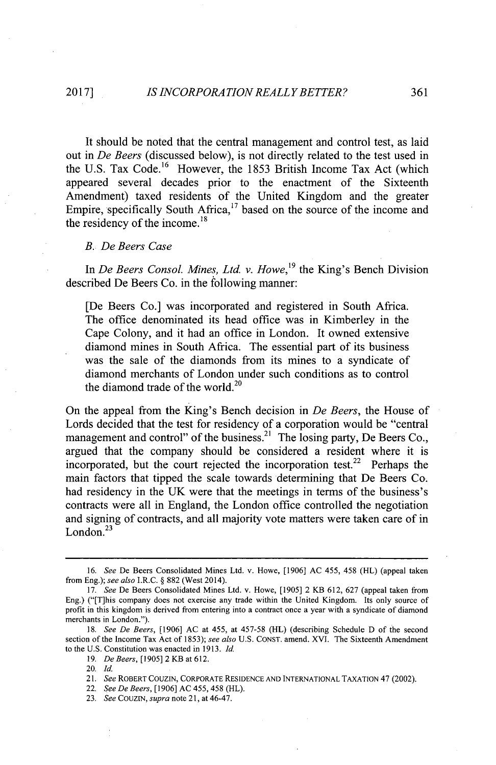It should be noted that the central management and control test, as laid out in *De Beers* (discussed below), is not directly related to the test used in the U.S. Tax Code.<sup>16</sup> However, the 1853 British Income Tax Act (which appeared several decades prior to the enactment of the Sixteenth Amendment) taxed residents of the United Kingdom and the greater Empire, specifically South Africa, $17$  based on the source of the income and the residency of the income.<sup>18</sup>

#### *B. De Beers Case*

In *De Beers Consol. Mines, Ltd. v. Howe*,<sup>19</sup> the King's Bench Division described De Beers Co. in the following manner:

[De Beers Co.] was incorporated and registered in South Africa. The office denominated its head office was in Kimberley in the Cape Colony, and it had an office in London. It owned extensive diamond mines in South Africa. The essential part of its business was the sale of the diamonds from its mines to a syndicate of diamond merchants of London under such conditions as to control the diamond trade of the world.<sup>20</sup>

On the appeal from the King's Bench decision in *De Beers,* the House of Lords decided that the test for residency of a corporation would be "centra management and control" of the business.<sup>21</sup> The losing party, De Beers Co., argued that the company should be considered a resident where it is incorporated, but the court rejected the incorporation test.<sup>22</sup> Perhaps the main factors that tipped the scale towards determining that De Beers Co. had residency in the **UK** were that the meetings in terms of the business's contracts were all in England, the London office controlled the negotiation and signing of contracts, and all majority vote matters were taken care of in London. $^{23}$ 

*<sup>16.</sup> See* De Beers Consolidated Mines Ltd. v. Howe, **[1906] AC** 455, 458 (HL) (appeal taken from Eng.); *see also I.R.C. §* **882** (West 2014).

**<sup>17.</sup>** *See* De Beers Consolidated Mines Ltd. v. Howe, **[1905]** 2 KB **612, 627** (appeal taken from Eng.) ("[T]his company does not exercise any trade within the United Kingdom. Its only source of profit in this kingdom is derived from entering into a contract once a year with a syndicate of diamond merchants in London.").

*<sup>18.</sup> See De Beers,* **[1906] AC** at 455, at **457-58 (HL)** (describing Schedule **D** of the second section of the Income Tax Act of **1853);** *see also* **U.S. CONST.** amend. XVI. The Sixteenth Amendment to the **U.S.** Constitution was enacted in **1913.** *Id.*

**<sup>19.</sup>** *De Beers,* **[1905]** 2 KB at **612.**

<sup>20.</sup> *Id.*

<sup>21.</sup> *See* ROBERT **COUZIN,** CORPORATE **RESIDENCE AND INTERNATIONAL TAXATION** 47 (2002).

<sup>22.</sup> *See De Beers,* **[1906] AC** 455, 458 (HL).

**<sup>23.</sup>** *See COUZIN, supra* note **21,** at 46-47.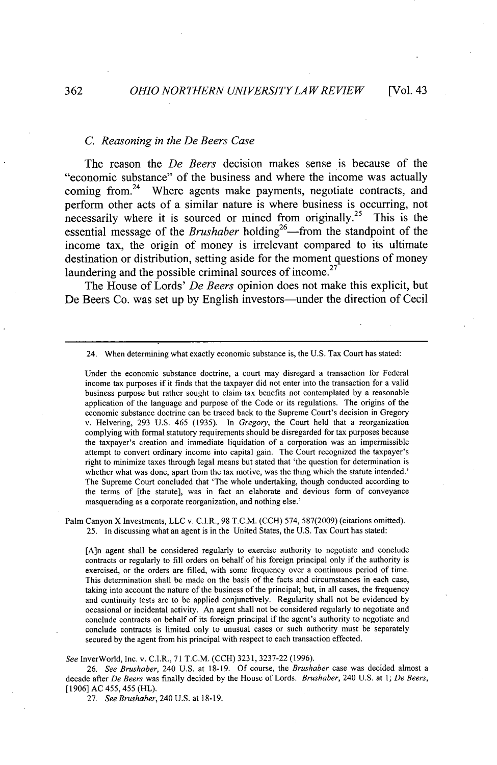#### *C. Reasoning in the De Beers Case*

The reason the *De Beers* decision makes sense is because of the "economic substance" of the business and where the income was actually coming from.<sup>24</sup> Where agents make payments, negotiate contracts, and perform other acts of a similar nature is where business is occurring, not necessarily where it is sourced or mined from originally.<sup>25</sup> This is the essential message of the *Brushaber* holding<sup>26</sup>—from the standpoint of the income tax, the origin of money is irrelevant compared to its ultimate destination or distribution, setting aside for the moment questions of money **<sup>27</sup>** laundering and the possible criminal sources of income.

The House of Lords' *De Beers* opinion does not make this explicit, but De Beers Co. was set up by English investors—under the direction of Cecil

Under the economic substance doctrine, a court may disregard a transaction for Federal income tax purposes if it finds that the taxpayer did not enter into the transaction for a valid business purpose but rather sought to claim tax benefits not contemplated **by** a reasonable application of the language and purpose of the Code or its regulations. The origins of the economic substance doctrine can be traced back to the Supreme Court's decision in Gregory v. Helvering, **293 U.S.** 465 **(1935).** In *Gregory,* the Court held that a reorganization complying with formal statutory requirements should be disregarded for tax purposes because the taxpayer's creation and immediate liquidation of a corporation was an impermissible attempt to convert ordinary income into capital gain. The Court recognized the taxpayer's right to minimize taxes through legal means but stated that 'the question for determination is whether what was done, apart from the tax motive, was the thing which the statute intended.' The Supreme Court concluded that 'The whole undertaking, though conducted according to the terms of [the statute], was in fact an elaborate and devious form of conveyance masquerading as a corporate reorganization, and nothing else.'

Palm Canyon X Investments, **LLC** v. C.I.R., **98** T.C.M. **(CCH)** 574, **587(2009)** (citations omitted). **25.** In discussing what an agent is in the United States, the **U.S.** Tax Court has stated:

[A]n agent shall be considered regularly to exercise authority to negotiate and conclude contracts or regularly to fill orders on behalf of his foreign principal only if the authority is exercised, or the orders are filled, with some frequency over a continuous period of time. This determination shall be made on the basis of the facts and circumstances in each case, taking into account the nature of the business of the principal; but, in all cases, the frequency and continuity tests are to be applied conjunctively. Regularity shall not be evidenced **by** occasional or incidental activity. An agent shall not be considered regularly to negotiate and conclude contracts on behalf of its foreign principal if the agent's authority to negotiate and conclude contracts is limited only to unusual cases or such authority must be separately secured **by** the agent from his principal with respect to each transaction effected.

See InverWorld, Inc. v. C.I.R., **71** T.C.M. **(CCH) 3231, 3237-22 (1996).**

*26. See Brushaber,* 240 **U.S.** at **18-19. Of** course, the *Brushaber* case was decided almost a decade after *De Beers* was finally decided **by** the House of Lords. *Brushaber,* 240 **U.S.** at *1; De Beers,* **[1906] AC** 455, 455 (HL).

*27. See Brushaber, 240 U.S. at 18-19.*

<sup>24.</sup> When determining what exactly economic substance is, the **U.S.** Tax Court has stated: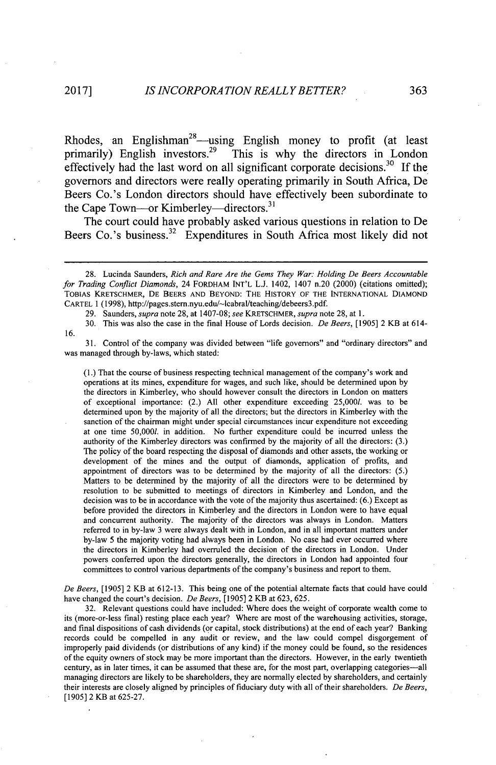Rhodes, an Englishman<sup>28</sup>—using English money to profit (at least primarily) English investors.<sup>29</sup> This is why the directors in London effectively had the last word on all significant corporate decisions.<sup>30</sup> If the governors and directors were really operating primarily in South Africa, De Beers Co.'s London directors should have effectively been subordinate to the Cape Town—or Kimberley—directors.<sup>31</sup>

The court could have probably asked various questions in relation to De Beers Co.'s business.<sup>32</sup> Expenditures in South Africa most likely did not

**29.** Saunders, *supra* note **28,** at **1407-08;** *see KRETSCHMER, supra* note **28,** at **1.**

**30.** This was also the case in the final House of Lords decision. *De Beers, [1905]* 2 KB at 614- **16.**

**31.** Control of the company was divided between "life governors" and "ordinary directors" and was managed through by-laws, which stated:

(1.) That the course of business respecting technical management of the company's work and operations at its mines, expenditure for wages, and such like, should be determined upon **by** the directors in Kimberley, who should however consult the directors in London on matters of exceptional importance: (2.) **All** other expenditure exceeding **25,0001.** was to be determined upon **by** the majority of all the directors; but the directors in Kimberley with the sanction of the chairman might under special circumstances incur expenditure not exceeding at one time **50,0001.** in addition. No further expenditure could be incurred unless the authority of the Kimberley directors was confirmed **by** the majority of all the directors: **(3.)** The policy of the board respecting the disposal of diamonds and other assets, the working or development of the mines and the output of diamonds, application of profits, and appointment of directors was to be determined **by** the majority of all the directors: **(5.)** Matters to be determined **by** the majority of all the directors were to be determined **by** resolution to be submitted to meetings of directors in Kimberley and London, and the decision was to be in accordance with the vote of the majority thus ascertained: **(6.)** Except as before provided the directors in Kimberley and the directors in London were to have equal and concurrent authority. The majority of the directors was always in London. Matters referred to in by-law **3** were always dealt with in London, and in all important matters under by-law **5** the majority voting had always been in London. No case had ever occurred where the directors in Kimberley had overruled the decision of the directors in London. Under powers conferred upon the directors generally, the directors in London had appointed four committees to control various departments of the company's business and report to them.

*De Beers,* **[1905]** 2 KB at **612-13.** This being one of the potential alternate facts that could have could have changed the court's decision. *De Beers,* **[1905]** 2 KB at **623, 625.**

**32.** Relevant questions could have included: Where does the weight of corporate wealth come to its (more-or-less final) resting place each year? Where are most of the warehousing activities, storage, and final dispositions of cash dividends (or capital, stock distributions) at the end of each year? Banking records could be compelled in any audit or review, and the law could compel disgorgement of improperly paid dividends (or distributions of any kind) if the money could be found, so the residences of the equity owners of stock may be more important than the directors. However, in the early twentieth century, as in later times, it can be assumed that these are, for the most part, overlapping categories-all managing directors are likely to be shareholders, they are normally elected **by** shareholders, and certainly their interests are closely aligned **by** principles of fiduciary duty with all of their shareholders. *De Beers,* **[1905]** 2 KB at **625-27.**

**<sup>28.</sup>** Lucinda Saunders, *Rich and Rare Are the Gems They War: Holding De Beers Accountable for Trading Conflict Diamonds,* 24 FORDHAM **INT'L L.J.** 1402, 1407 n.20 (2000) (citations omitted); TOBIAS KRETSCHMER, **DE** BEERS **AND** BEYOND: THE HISTORY OF THE **INTERNATIONAL** DIAMOND CARTEL **1 (1998),** http://pages.stem.nyu.edu/-lcabral/teaching/debeers3.pdf.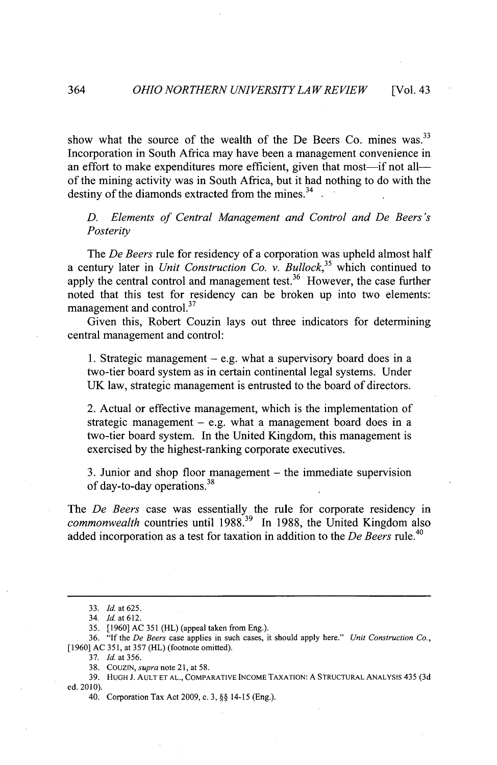show what the source of the wealth of the De Beers Co. mines was.  $33$ Incorporation in South Africa may have been a management convenience in an effort to make expenditures more efficient, given that most—if not all of the mining activity was in South Africa, but it had nothing to do with the destiny of the diamonds extracted from the mines.<sup>34</sup>

*D. Elements of Central Management and Control and De Beers's Posterity*

The *De Beers* rule for residency of a corporation was upheld almost half *a* century later in *Unit Construction Co. v. Bullock*<sup>35</sup> which continued to apply the central control and management test.<sup>36</sup> However, the case further noted that this test for residency can be broken up into two elements: management and control.<sup>37</sup>

Given this, Robert Couzin lays out three indicators for determining central management and control:

**1.** Strategic management **-** e.g. what a supervisory board does in a two-tier board system as in certain continental legal systems. Under **UK** law, strategic management is entrusted to the board of directors.

2. Actual or effective management, which is the implementation of strategic management **-** e.g. what a management board does in a two-tier board system. In the United Kingdom, this management is exercised **by** the highest-ranking corporate executives.

**3.** Junior and shop floor management **-** the immediate supervision of day-to-day operations.<sup>38</sup>

The *De Beers* case was essentially the rule for corporate residency in *commonwealth* countries until **1988.39** In **1988,** the United Kingdom also added incorporation as a test for taxation in addition to the *De Beers rule.<sup>40</sup>*

*<sup>33.</sup> Id. at 625.*

*<sup>34.</sup> Id. at 612.*

**<sup>35. [1960]</sup> AC 351** (HL) (appeal taken from Eng.).

**<sup>36. &</sup>quot;If** the *De Beers* case applies in such cases, it should apply here." *Unit Construction Co.,* **[1960] AC 351,** at **357** (HL) (footnote omitted).

**<sup>37.</sup>** *Id.* at **356.**

**<sup>38.</sup>** COUZIN, *supra* note 21, at **58.**

**<sup>39.</sup> HUGH J. AULT ET AL.,** COMPARATIVE INCOME **TAXATION: A STRUCTURAL** ANALYSIS *435* **(3d** ed. 2010).

<sup>40.</sup> Corporation Tax Act **2009, c. 3,** *§§* 14-15 (Eng.).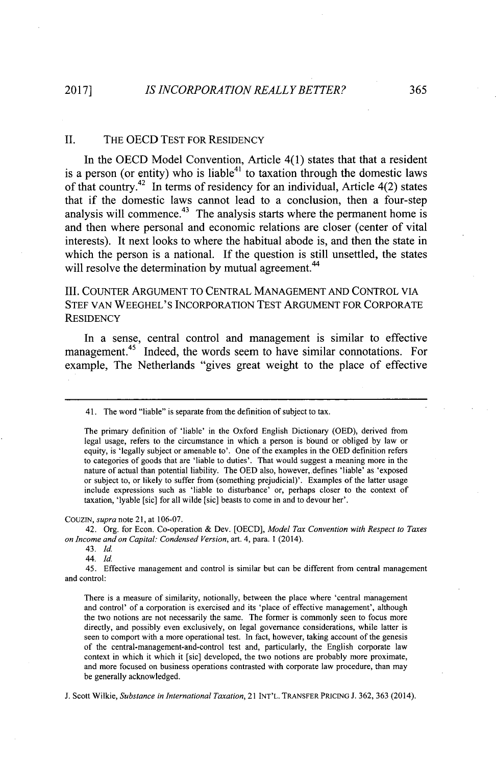#### **II.** THE **OECD TEST** FOR RESIDENCY

In the **OECD** Model Convention, Article 4(1) states that that a resident is a person (or entity) who is liable<sup>41</sup> to taxation through the domestic laws of that country.<sup>42</sup> In terms of residency for an individual, Article 4(2) states that if the domestic laws cannot lead to a conclusion, then a four-step analysis will commence.<sup>43</sup> The analysis starts where the permanent home is and then where personal and economic relations are closer (center of vital interests). It next looks to where the habitual abode is, and then the state in which the person is a national. If the question is still unsettled, the states will resolve the determination by mutual agreement.<sup>44</sup>

III. **COUNTER ARGUMENT** TO **CENTRAL MANAGEMENT AND** CONTROL VIA **STEF VAN WEEGHEL'S** INCORPORATION **TEST ARGUMENT** FOR CORPORATE **RESIDENCY**

In a sense, central control and management is similar to effective management.<sup>45</sup> Indeed, the words seem to have similar connotations. For example, The Netherlands "gives great weight to the place of effective

**COUZIN,** *supra* note **21,** at **106-07.**

42. Org. for Econ. Co-operation **&** Dev. **[OECD],** *Model Tax Convention with Respect to Taxes on Income and on Capital: Condensed Version,* art. 4, para. **1** (2014).

43. *Id*

44. *Id.*

45. Effective management and control is similar but can be different from central management and control:

There is a measure of similarity, notionally, between the place where 'central management and control' of a corporation is exercised and its 'place of effective management', although the two notions are not necessarily the same. The former is commonly seen to focus more directly, and possibly even exclusively, on legal governance considerations, while latter is seen to comport with a more operational test. In fact, however, taking account of the genesis of the central-management-and-control test and, particularly, the English corporate law context in which it which it [sic] developed, the two notions are probably more proximate, and more focused on business operations contrasted with corporate law procedure, than may **be** generally acknowledged.

**J.** Scott Wilkie, *Substance in International Taxation,* 21 **INT'L.** TRANSFER PRICING **J. 362, 363** (2014).

<sup>41.</sup> The word "liable" is separate from the definition of subject to tax.

The primary definition of 'liable' in the Oxford English Dictionary **(OED),** derived from legal usage, refers to the circumstance in which a person is bound or obliged **by** law or equity, is 'legally subject or amenable to'. One of the examples in the **OED** definition refers to categories of goods that are 'liable to duties'. That would suggest a meaning more in the nature of actual than potential liability. The **OED** also, however,.defines 'liable' as 'exposed or subject to, or likely to suffer from (something prejudicial)'. Examples of the latter usage include expressions such as 'liable to disturbance' or, perhaps closer to the context of taxation, 'lyable [sic] for all wilde [sic] beasts to come in and to devour her'.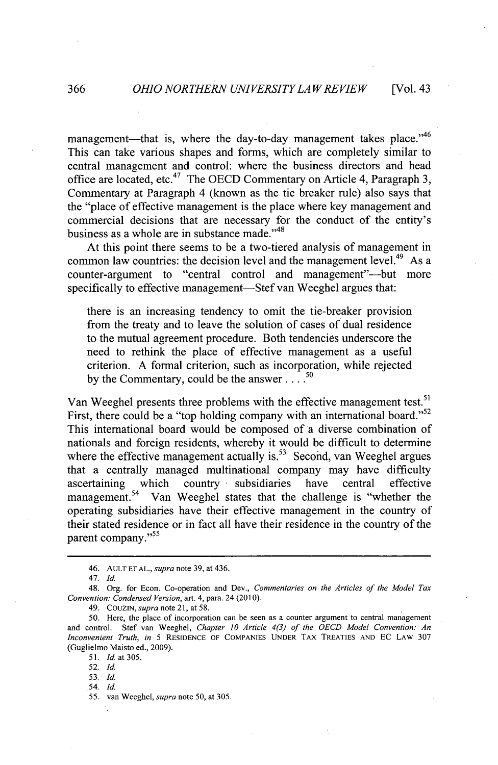management—that is, where the day-to-day management takes place. $^{46}$ This can take various shapes and forms, which are completely similar to central management and control: where the business directors and head office are located, etc.4 7 The **OECD** Commentary on Article 4, Paragraph **3,** Commentary at Paragraph 4 (known as the tie breaker rule) also says that the "place of effective management is the place where key management and commercial decisions that are necessary for the conduct of the entity's business as a whole are in substance made."<sup>48</sup>

At this point there seems to be a two-tiered analysis of management in common law countries: the decision level and the management level.<sup>49</sup> As a counter-argument to "central control and management"-but more specifically to effective management—Stef van Weeghel argues that:

there is an increasing tendency to omit the tie-breaker provision from the treaty and to leave the solution of cases of dual residence to the mutual agreement procedure. Both tendencies underscore the need to rethink the place of effective management as a useful criterion. **A** formal criterion, such as incorporation, while rejected *50* **by** the Commentary, could be the answer **....**

Van Weeghel presents three problems with the effective management test.<sup>51</sup> First, there could be a "top holding company with an international board."<sup>52</sup> This international board would be composed of a diverse combination of nationals and foreign residents, whereby it would be difficult to determine where the effective management actually is.<sup>53</sup> Second, van Weeghel argues that a centrally managed multinational company may have difficulty ascertaining which country subsidiaries have central effective management.<sup>54</sup> Van Weeghel states that the challenge is "whether the operating subsidiaries have their effective management in the country of their stated residence or in fact all have their residence in the country of the parent company."<sup>55</sup>

**51.** *Id. at* **305.**

*52. Id.*

*53. Id.*

54. *Id.*

*55.* van Weeghel, *supra note* **50,** at **305.**

<sup>46.</sup> **AULT ET AL.,** *supra* note **39,** at 436.

**<sup>47.</sup>** *Id.*

<sup>48.</sup> Org. for Econ. Co-operation and Dev., *Commentaries on the Articles of the Model Tax Convention: Condensed Version, art.* 4, para. 24 **(2010).**

<sup>49.</sup> COuZIN, *supra* note 21, at **58.**

*<sup>50.</sup>* Here, the place *of* incorporation can be seen as a counter argument to central management and control. Stef van Weeghel, *Chapter 10 Article 4(3) of the OECD Model Convention: An Inconvenient Truth, in 5* RESIDENCE OF **COMPANIES UNDER** TAX TREATIES **AND EC** LAW **307** (Guglielmo Maisto ed., **2009).**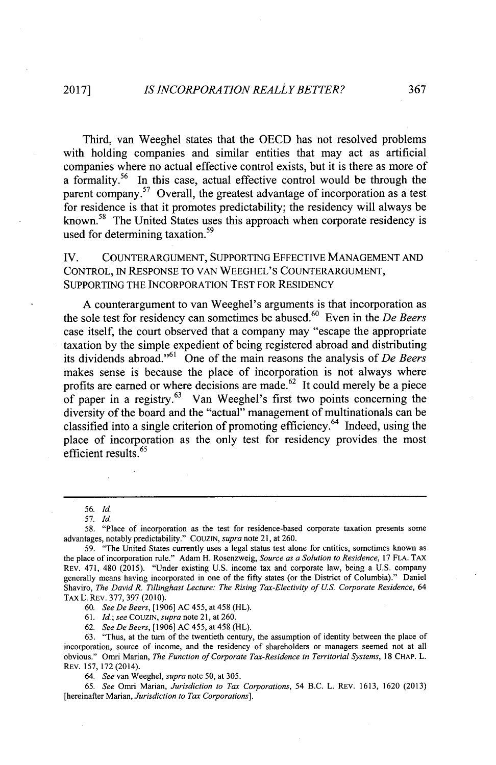Third, van Weeghel states that the **OECD** has not resolved problems with holding companies and similar entities that may act as artificial companies where no actual effective control exists, but it is there as more of a formality.<sup>56</sup> In this case, actual effective control would be through the parent company.<sup>57</sup> Overall, the greatest advantage of incorporation as a test for residence is that it promotes predictability; the residency will always be known.<sup>58</sup> The United States uses this approach when corporate residency is used for determining taxation.<sup>59</sup>

**IV. COUNTERARGUMENT, SUPPORTING EFFECTIVE MANAGEMENT AND** CONTROL, IN **RESPONSE** TO **VAN WEEGHEL'S COUNTERARGUMENT, SUPPORTING** THE INCORPORATION **TEST** FOR RESIDENCY

**A** counterargument to van Weeghel's arguments is that incorporation as the sole test for residency can sometimes be abused.<sup>60</sup> Even in the *De Beers* case itself, the court observed that a company may "escape the appropriate taxation **by** the simple expedient of being registered abroad and distributing its dividends abroad."<sup>61</sup> One of the main reasons the analysis of De Beers makes sense is because the place of incorporation is not always where profits are earned or where decisions are made.<sup>62</sup> It could merely be a piece of paper in a registry. $63$  Van Weeghel's first two points concerning the diversity of the board and the "actual" management of multinationals can be classified into a single criterion of promoting efficiency.<sup>64</sup> Indeed, using the place of incorporation as the only test for residency provides the most efficient results.<sup>65</sup>

**5** *6. Id.*

*60. See De Beers,* **[1906] AC** 455, at 458 (HL).

*61. Id; see CouzIN, supra* note 21, at **260.**

*62. See De Beers,* **[1906] AC** 455, at 458 (H1L).

**63.** "Thus, at the turn of the twentieth century, the assumption of identity between the place of incorporation, source of income, and the residency of shareholders or managers seemed not at all obvious." Omri Marian, *The Function of Corporate Tax-Residence in Territorial Systems,* **18 CHAP.** L. **REv. 157, 172 (2014).**

*64. See* van Weeghel, *supra* note **50,** at **305.**

*65. See* Omri Marian, *Jurisdiction to Tax Corporations,* 54 B.C. L. **REV. 1613, 1620 (2013)** [hereinafter Marian, *Jurisdiction to Tax Corporations].*

**<sup>57.</sup>** *Id.*

**<sup>58.</sup>** "Place of incorporation as the test for residence-based corporate taxation presents some advantages, notably predictability." **COUZIN,** *supra* note **21,** at **260.**

**<sup>59.</sup>** "The United States currently uses a legal status test alone for entities, sometimes known as the place of incorporation rule." Adam H. Rosenzweig, *Source as a Solution to Residence,* **17 FLA. TAX** REV. 471, 480 **(2015).** "Under existing **U.S.** income tax and corporate law, being a **U.S.** company generally means having incorporated in one of the fifty states (or the District of Columbia)." Daniel Shaviro, *The David R. Tillinghast Lecture: The Rising Tax-Electivity of U.S. Corporate Residence, 64* **TAX L. REV. 377, 397 (2010).**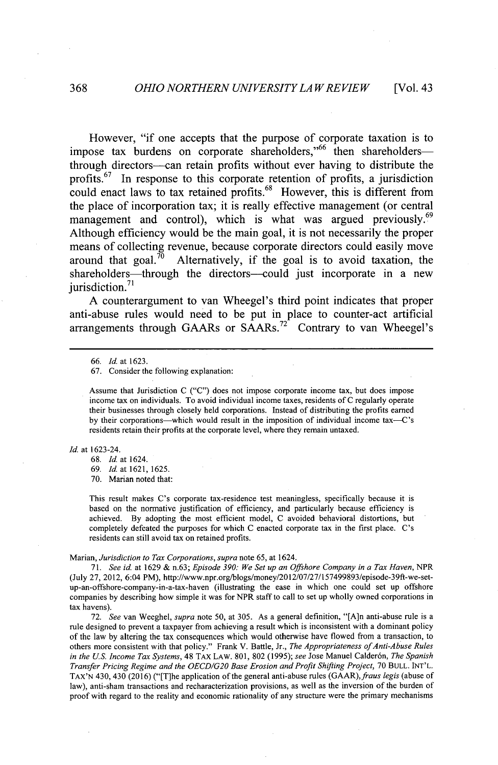However, "if one accepts that the purpose of corporate taxation is to impose tax burdens on corporate shareholders,"<sup>66</sup> then shareholders-through directors-can retain profits without ever having to distribute the profits.<sup>67</sup> In response to this corporate retention of profits, a jurisdiction could enact laws to tax retained profits.<sup>88</sup> However, this is different from the place of incorporation tax; it is really effective management (or central management and control), which is what was argued previously.<sup>69</sup> Although efficiency would be the main goal, it is not necessarily the proper means of collecting revenue, because corporate directors could easily move around that goal.<sup> $\bar{70}$ </sup> Alternatively, if the goal is to avoid taxation, the shareholders—through the directors—could just incorporate in a new jurisdiction. $71$ 

**A** counterargument to van Wheegel's third point indicates that proper anti-abuse rules would need to be put in place to counter-act artificial  $\frac{1}{2}$  arrangements through GAARs or SAARs.<sup>72</sup> Contrary to van Wheegel's

Id. at 1623-24.

**68.** *Id* at 1624.

**69.** *Id* at **1621, 1625.**

**70.** Marian noted that:

This result makes C's corporate tax-residence test meaningless, specifically because it is based on the normative justification of efficiency, and particularly because efficiency is achieved. **By** adopting the most efficient model, **C** avoided behavioral distortions, but completely defeated the purposes for which **C** enacted corporate tax in the first place. C's residents can still avoid tax on retained profits.

#### *Marian, Jurisdiction to Tax Corporations, supra* note **65,** at 1624.

*71. See id.* at **1629 &** *n.63; Episode 390: We Set up an Offshore Company in a Tax Haven,* NPR (July **27,** 2012, 6:04 PM), http://www.npr.org/blogs/money/2012/07/27/157499893/episode-39ft-we-setup-an-offshore-company-in-a-tax-haven (illustrating the ease in which one could set up offshore companies **by** describing how simple it was for NPR staff to call to set up wholly owned corporations in tax havens).

**72.** *See* van Weeghel, *supra* note **50,** at **305.** As a general definition, "[A]n anti-abuse rule is a rule designed to prevent a taxpayer from achieving a result which is inconsistent with a dominant policy of the law **by** altering the tax consequences which would otherwise have flowed from a transaction, to others more consistent with that policy." Frank V. Battle, Jr., *The Appropriateness ofAnti-Abuse Rules in the U.S. Income Tax Systems,* 48 TAx LAW. **801, 802 (1995);** *see* Jose Manuel Calder6n, *The Spanish Transfer Pricing Regime and* the **OECD/G20** Base *Erosion and Profit Shifting Project,* **70 BULL. INT'L. TAX'N** 430, 430 **(2016)** ("[T]he application of the general anti-abuse rules *(GAAR),fraus legis* (abuse of law), anti-sham transactions and recharacterization provisions, as well as the inversion of the burden of proof with regard to the reality and economic rationality of any structure were the primary mechanisms

**<sup>66.</sup>** *Id at* **1623.**

**<sup>67.</sup>** Consider the following explanation:

Assume that Jurisdiction **C ("C")** does not impose corporate income tax, but does impose income tax on individuals. To avoid individual income taxes, residents of C regularly operate their businesses through closely held corporations. Instead of distributing the profits earned **by** their corporations-which would result in the imposition of individual income tax-C's residents retain their profits at the corporate level, where they remain untaxed.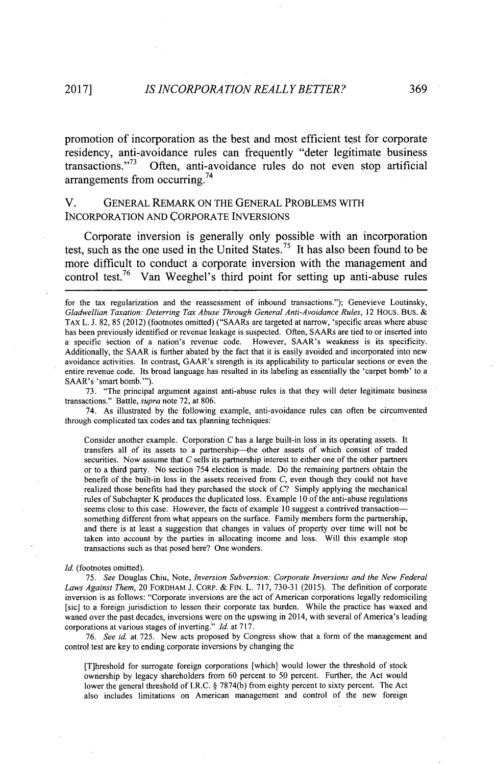promotion of incorporation as the best and most efficient test for corporate residency, anti-avoidance rules can frequently "deter legitimate business transactions."<sup>73</sup> Often, anti-avoidance rules do not even stop artificial Often, anti-avoidance rules do not even stop artificial arrangements from occurring.<sup>74</sup>

### **V. GENERAL** REMARK **ON** THE **GENERAL** PROBLEMS WITH INCORPORATION **AND** CORPORATE **INVERSIONS**

Corporate inversion is generally only possible with an incorporation test, such as the one used in the United States.<sup>75</sup> It has also been found to be more difficult to conduct a corporate inversion with the management and control test.<sup>76</sup> Van Weeghel's third point for setting up anti-abuse rules

**73.** "The principal argument against anti-abuse rules is that they will deter legitimate business transactions." Battle, *supra* note **72,** at **806.**

74. As illustrated **by** the following example, anti-avoidance rules can often be circumvented through complicated tax codes and tax planning techniques:

Consider another example. Corporation **C** has a large built-in loss in its operating assets. It transfers all of its assets to a partnership-the other assets of which consist of traded securities. Now assume that *C* sells its partnership interest to either one of the other partners or to a third party. No section 754 election is made. Do the remaining partners obtain the benefit of the built-in loss in the assets received from *C,* even though they could not have realized those benefits had they purchased the stock of *C?* Simply applying the mechanical rules of Subchapter K produces the duplicated loss. Example **10** of the anti-abuse regulations seems close to this case. However, the facts of example **10** suggest a contrived transactionsomething different from what appears on the surface. Family members form the partnership, and there is at least a suggestion that changes in values of property over time will not be taken into account **by** the parties in allocating income and loss. Will this example stop transactions such as that posed here? One wonders.

#### Id. (footnotes omitted).

*75. See* Douglas Chiu, Note, *Inversion Subversion: Corporate Inversions and the New Federal Laws Against Them,* 20 FORDHAM **J.** CORP. **& FIN.** L. **717, 730-31 (2015).** The definition of corporate inversion is as follows: "Corporate inversions are the act of American corporations legally redomiciling [sic] to a foreign jurisdiction to lessen their corporate tax burden. While the practice has waxed and waned over the past decades, inversions were on the upswing in 2014, with several of America's leading corporations at various stages of inverting." *Id.* at **717.**

*76. See id* at **725.** New acts proposed **by** Congress show that a form of the management and control test are key to ending corporate inversions **by** changing the

[T]hreshold for surrogate foreign corporations [which] would lower the threshold of stock ownership **by** legacy shareholders from **60** percent to **50** percent. Further, the Act would lower the general threshold of I.R.C. *§* **7874(b)** from eighty percent to sixty percent. The Act also includes limitations on American management and control of the new foreign

for the tax regularization and the reassessment of inbound transactions."); Genevieve Loutinsky, Gladwellian Taxation: Deterring Tax Abuse Through General Anti-Avoidance Rules, 12 HOUS. BUS. & **TAX L. J. 82, 85** (2012) (footnotes omitted) ("SAARs are targeted at narrow, 'specific areas where abuse has been previously identified or revenue leakage is suspected. Often, SAARs are tied to or inserted into a specific section of a nation's revenue code. However, SAAR's weakness is its specificity. Additionally, the SAAR is further abated **by** the fact that it is easily avoided and incorporated into new avoidance activities. In contrast, GAAR's strength is its applicability to particular sections or even the entire revenue code. Its broad language has resulted in its labeling as essentially the 'carpet bomb' to a SAAR's 'smart bomb."').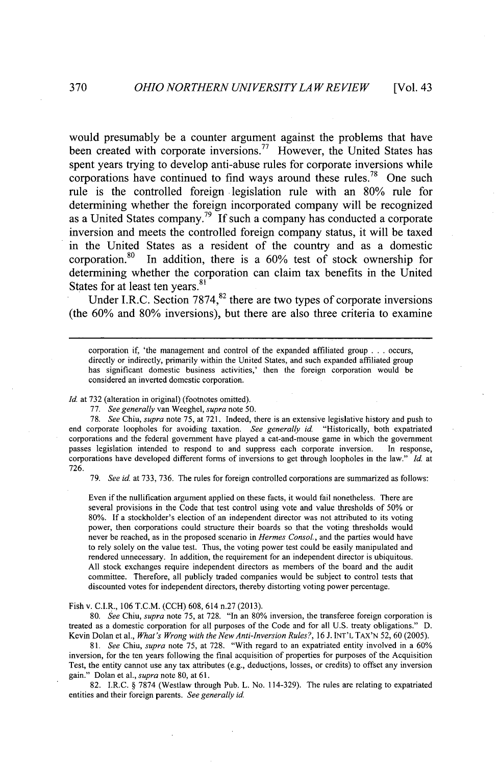would presumably be a counter argument against the problems that have been created with corporate inversions.<sup>77</sup> However, the United States has spent years trying to develop anti-abuse rules for corporate inversions while corporations have continued to find ways around these rules.<sup>78</sup> One such rule is the controlled foreign legislation rule with an **80%** rule for determining whether the foreign incorporated company will be recognized as a United States company.<sup>79</sup>**If** such a company has conducted a corporate inversion and meets the controlled foreign company status, it will be taxed in the United States as a resident of the country and as a domestic corporation.<sup>80</sup> In addition, there is a 60% test of stock ownership for determining whether the corporation can claim tax benefits in the United States for at least ten years.<sup>81</sup>

Under I.R.C. Section 7874,<sup>82</sup> there are two types of corporate inversions (the **60%** and **80%** inversions), but there are also three criteria to examine

corporation if, 'the management and control of the expanded affiliated group **. . .** occurs, directly or indirectly, primarily within the United States, and such expanded affiliated group has significant domestic business activities,' then the foreign corporation would be considered an inverted domestic corporation.

*Id.* at **732** (alteration in original) (footnotes omitted).

**77.** *See generally* van Weeghel, *supra note* **50.**

**78.** *See Chiu, supra* note **75,** at **721.** Indeed, there is an extensive legislative history and push to end corporate loopholes for avoiding taxation. *See generally id.* "Historically, both expatriated corporations and the federal government have played a cat-and-mouse game in which the government passes legislation intended to respond to and suppress each corporate inversion. In response, corporations have developed different forms of inversions to get through loopholes in the law." *Id.* at **726.**

**79.** *See id.* at **733, 736.** The rules for foreign controlled corporations are summarized as follows:

Even if the nullification argument applied on these facts, it would fail nonetheless. There are several provisions in the Code that test control using vote and value thresholds of *50%* or **80%.** If a stockholder's election of an independent director was not attributed to its voting power, then corporations could structure their boards so that the voting thresholds would never **be** reached, as in the proposed scenario in *Hermes Consol.,* and the parties would have to rely solely on the value test. Thus, the voting power test could be easily manipulated and rendered unnecessary. In addition, the requirement for an independent director is ubiquitous. **All** stock exchanges require independent directors as members of the board and the audit committee. Therefore, all publicly traded companies would be subject to control tests that discounted votes for independent directors, thereby distorting voting power percentage.

Fish v. C.I.R., **106** T.C.M. **(CCH) 608,** 614 n.27 **(2013).**

*80. See Chiu, supra* note **75,** at **728.** "In an **80%** inversion, the transferee foreign corporation is treated as a domestic corporation for all purposes of the Code and for all **U.S.** treaty obligations." **D.** Kevin Dolan et al., *What's Wrong with the New Anti-Inversion Rules?,* **16 J. INT'L** TAX'N **52, 60 (2005).**

*81. See Chiu, supra* note **75,** at **728.** "With regard to an expatriated entity involved in a **60%** inversion, for the ten years following the final acquisition of properties for purposes of the Acquisition Test, the entity cannot use any tax attributes (e.g., deductions, losses, or credits) to offset any inversion gain." Dolan et al., *supra* note **80,** at **61.**

**82.** I.R.C. *§* **7874** (Westlaw through Pub. L. No. 114-329). The rules are relating to expatriated entities and their foreign parents. *See generally id*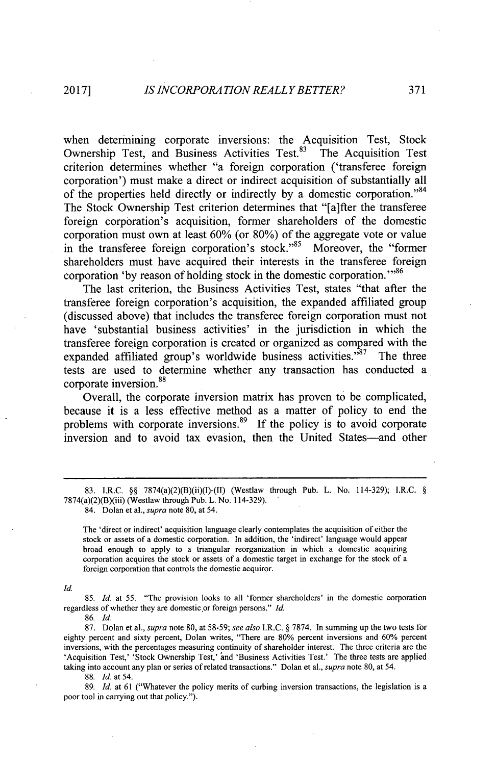when determining corporate inversions: the Acquisition Test, Stock Ownership Test, and Business Activities Test.<sup>83</sup> The Acquisition Test criterion determines whether "a foreign corporation ('transferee foreign corporation') must make a direct or indirect acquisition of substantially all of the properties held directly or indirectly by a domestic corporation."<sup>84</sup> The Stock Ownership Test criterion determines that "[a]fter the transferee foreign corporation's acquisition, former shareholders of the domestic corporation must own at least **60%** (or **80%)** of the aggregate vote or value in the transferee foreign corporation's stock."<sup>85</sup> Moreover, the "former shareholders must have acquired their interests in the transferee foreign corporation 'by reason of holding stock in the domestic corporation.'"<sup>86</sup>

The last criterion, the Business Activities Test, states "that after the transferee foreign corporation's acquisition, the expanded affiliated group (discussed above) that includes the transferee foreign corporation must not have 'substantial business activities' in the jurisdiction in which the transferee foreign corporation is created or organized as compared with the expanded affiliated group's worldwide business activities. $187$  The three tests are used to determine whether any transaction has conducted a corporate inversion.<sup>88</sup>

Overall, the corporate inversion matrix has proven to be complicated, because it is a less effective method as a matter of policy to end the problems with corporate inversions.<sup>89</sup> If the policy is to avoid corporate inversion and to avoid tax evasion, then the United States-and other

**85.** *Id. at 55.* "The provision looks to all 'former shareholders' in the domestic corporation regardless of whether they are domestic.or foreign persons." *Id.*

**8 6.** *Id.*

**87.** Dolan et al., *supra* note **80,** at **58-59;** *see also I.R.C. §* **7874.** In summing up the two tests for eighty percent and sixty percent, Dolan writes, "There are **80%** percent inversions and **60%** percent inversions, with the percentages measuring continuity of shareholder interest. The three criteria are the 'Acquisition Test,' 'Stock Ownership Test,' and 'Business Activities Test.' The three tests are applied taking into account any plan or series of related transactions." Dolan et al., *supra* note **80,** at *54.*

**88.** *Id.* at *54.*

**89.** *Id.* at **61** ("Whatever the policy merits of curbing inversion transactions, the legislation is a poor tool in carrying out that policy.").

**<sup>83.</sup>** I.R.C. *§§* 7874(a)(2)(B)(ii)(I)-(II) (Westlaw through Pub. L. No. 114-329); I.R.C. *§* 7874(a)(2)(B)(iii) (Westlaw through Pub. L. No. 114-329).

<sup>84.</sup> Dolan et al., *supra* note **80,** at 54.

The 'direct or indirect' acquisition language clearly contemplates the acquisition of either the stock or assets of a domestic corporation. In addition, the 'indirect' language would appear broad enough to apply to a triangular reorganization in which a domestic acquiring corporation acquires the stock or assets of a domestic target in exchange for the stock of a foreign corporation that controls the domestic acquiror.

*Id.*